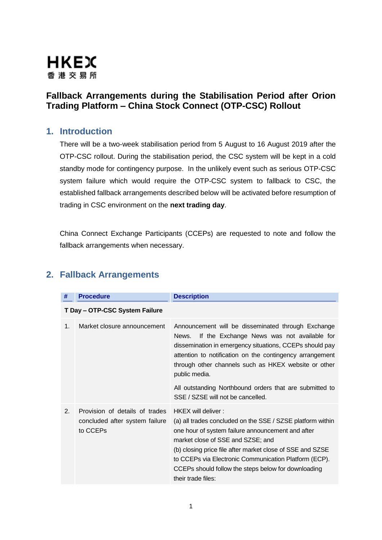

## **Fallback Arrangements during the Stabilisation Period after Orion Trading Platform – China Stock Connect (OTP-CSC) Rollout**

## **1. Introduction**

There will be a two-week stabilisation period from 5 August to 16 August 2019 after the OTP-CSC rollout. During the stabilisation period, the CSC system will be kept in a cold standby mode for contingency purpose. In the unlikely event such as serious OTP-CSC system failure which would require the OTP-CSC system to fallback to CSC, the established fallback arrangements described below will be activated before resumption of trading in CSC environment on the **next trading day**.

China Connect Exchange Participants (CCEPs) are requested to note and follow the fallback arrangements when necessary.

| #                              | <b>Procedure</b>                                                             | <b>Description</b>                                                                                                                                                                                                                                                                                                                                                            |  |  |
|--------------------------------|------------------------------------------------------------------------------|-------------------------------------------------------------------------------------------------------------------------------------------------------------------------------------------------------------------------------------------------------------------------------------------------------------------------------------------------------------------------------|--|--|
| T Day - OTP-CSC System Failure |                                                                              |                                                                                                                                                                                                                                                                                                                                                                               |  |  |
| 1.                             | Market closure announcement                                                  | Announcement will be disseminated through Exchange<br>If the Exchange News was not available for<br>News.<br>dissemination in emergency situations, CCEPs should pay<br>attention to notification on the contingency arrangement<br>through other channels such as HKEX website or other<br>public media.                                                                     |  |  |
|                                |                                                                              | All outstanding Northbound orders that are submitted to<br>SSE / SZSE will not be cancelled.                                                                                                                                                                                                                                                                                  |  |  |
| 2.                             | Provision of details of trades<br>concluded after system failure<br>to CCEPs | HKEX will deliver:<br>(a) all trades concluded on the SSE / SZSE platform within<br>one hour of system failure announcement and after<br>market close of SSE and SZSE; and<br>(b) closing price file after market close of SSE and SZSE<br>to CCEPs via Electronic Communication Platform (ECP).<br>CCEPs should follow the steps below for downloading<br>their trade files: |  |  |

## **2. Fallback Arrangements**